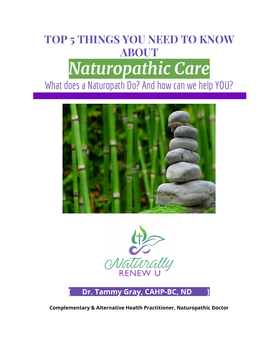## **TOP 5 THINGS YOU NEED TO KNOW ABOUT** *Naturopathic Care* What does a Naturopath Do? And how can we help YOU?





### **[ Dr. Tammy Gray, CAHP-BC, ND ]**

**Complementary & Alternative Health Practitioner, Naturopathic Doctor**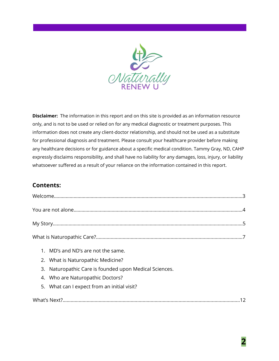

**Disclaimer:** The information in this report and on this site is provided as an information resource only, and is not to be used or relied on for any medical diagnostic or treatment purposes. This information does not create any client-doctor relationship, and should not be used as a substitute for professional diagnosis and treatment. Please consult your healthcare provider before making any healthcare decisions or for guidance about a specific medical condition. Tammy Gray, ND, CAHP expressly disclaims responsibility, and shall have no liability for any damages, loss, injury, or liability whatsoever suffered as a result of your reliance on the information contained in this report.

### **Contents:**

| 1. MD's and ND's are not the same.                     |
|--------------------------------------------------------|
| 2. What is Naturopathic Medicine?                      |
| 3. Naturopathic Care is founded upon Medical Sciences. |
| 4. Who are Naturopathic Doctors?                       |
| 5. What can I expect from an initial visit?            |
|                                                        |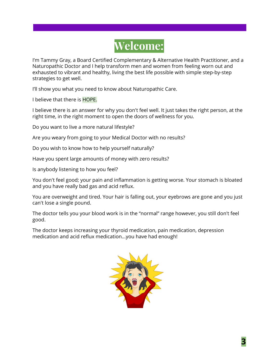

I'm Tammy Gray, a Board Certified Complementary & Alternative Health Practitioner, and a Naturopathic Doctor and I help transform men and women from feeling worn out and exhausted to vibrant and healthy, living the best life possible with simple step-by-step strategies to get well.

I'll show you what you need to know about Naturopathic Care.

I believe that there is HOPE.

I believe there is an answer for why you don't feel well. It just takes the right person, at the right time, in the right moment to open the doors of wellness for you.

Do you want to live a more natural lifestyle?

Are you weary from going to your Medical Doctor with no results?

Do you wish to know how to help yourself naturally?

Have you spent large amounts of money with zero results?

Is anybody listening to how you feel?

You don't feel good; your pain and inflammation is getting worse. Your stomach is bloated and you have really bad gas and acid reflux.

You are overweight and tired. Your hair is falling out, your eyebrows are gone and you just can't lose a single pound.

The doctor tells you your blood work is in the "normal" range however, you still don't feel good.

The doctor keeps increasing your thyroid medication, pain medication, depression medication and acid reflux medication...you have had enough!

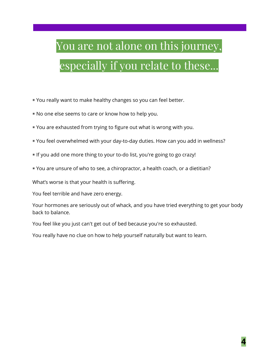# You are not alone on this journey, especially if you relate to these...

◉ You really want to make healthy changes so you can feel better.

- ◉ No one else seems to care or know how to help you.
- ◉ You are exhausted from trying to figure out what is wrong with you.
- ◉ You feel overwhelmed with your day-to-day duties. How can you add in wellness?
- ◉ If you add one more thing to your to-do list, you're going to go crazy!
- ◉ You are unsure of who to see, a chiropractor, a health coach, or a dietitian?

What's worse is that your health is suffering.

You feel terrible and have zero energy.

Your hormones are seriously out of whack, and you have tried everything to get your body back to balance.

You feel like you just can't get out of bed because you're so exhausted.

You really have no clue on how to help yourself naturally but want to learn.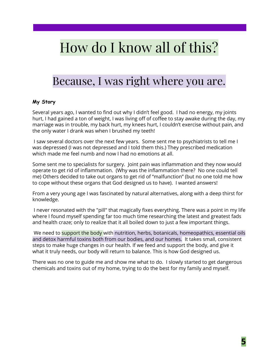## How do I know all of this?

### Because, I was right where you are.

### **My Story**

Several years ago, I wanted to find out why I didn't feel good. I had no energy, my joints hurt, I had gained a ton of weight, I was living off of coffee to stay awake during the day, my marriage was in trouble, my back hurt, my knees hurt, I couldn't exercise without pain, and the only water I drank was when I brushed my teeth!

I saw several doctors over the next few years. Some sent me to psychiatrists to tell me I was depressed (I was not depressed and I told them this.) They prescribed medication which made me feel numb and now I had no emotions at all.

Some sent me to specialists for surgery. Joint pain was inflammation and they now would operate to get rid of inflammation. (Why was the inflammation there? No one could tell me) Others decided to take out organs to get rid of "malfunction" (but no one told me how to cope without these organs that God designed us to have). I wanted answers!

From a very young age I was fascinated by natural alternatives, along with a deep thirst for knowledge.

I never resonated with the "pill" that magically fixes everything. There was a point in my life where I found myself spending far too much time researching the latest and greatest fads and health craze; only to realize that it all boiled down to just a few important things.

We need to support the body with nutrition, herbs, botanicals, homeopathics, essential oils and detox harmful toxins both from our bodies, and our homes. It takes small, consistent steps to make huge changes in our health. If we feed and support the body, and give it what it truly needs, our body will return to balance. This is how God designed us.

There was no one to guide me and show me what to do. I slowly started to get dangerous chemicals and toxins out of my home, trying to do the best for my family and myself.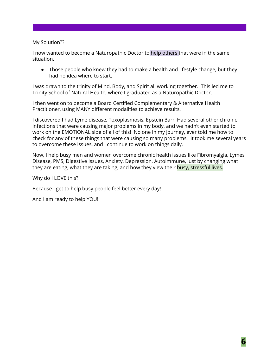#### My Solution??

I now wanted to become a Naturopathic Doctor to help others that were in the same situation.

● Those people who knew they had to make a health and lifestyle change, but they had no idea where to start.

I was drawn to the trinity of Mind, Body, and Spirit all working together. This led me to Trinity School of Natural Health, where I graduated as a Naturopathic Doctor.

I then went on to become a Board Certified Complementary & Alternative Health Practitioner, using MANY different modalities to achieve results.

I discovered I had Lyme disease, Toxoplasmosis, Epstein Barr, Had several other chronic infections that were causing major problems in my body, and we hadn't even started to work on the EMOTIONAL side of all of this! No one in my journey, ever told me how to check for any of these things that were causing so many problems. It took me several years to overcome these issues, and I continue to work on things daily.

Now, I help busy men and women overcome chronic health issues like Fibromyalgia, Lymes Disease, PMS, Digestive Issues, Anxiety, Depression, AutoImmune, just by changing what they are eating, what they are taking, and how they view their busy, stressful lives.

Why do I LOVE this?

Because I get to help busy people feel better every day!

And I am ready to help YOU!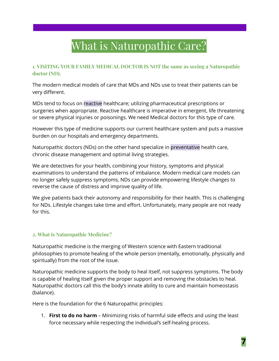### What is Naturopathic Care?

### **1. VISITING YOUR FAMILY MEDICAL DOCTOR IS NOT the same as seeing a Naturopathic doctor (ND).**

The modern medical models of care that MDs and NDs use to treat their patients can be very different.

MDs tend to focus on reactive healthcare; utilizing pharmaceutical prescriptions or surgeries when appropriate. Reactive healthcare is imperative in emergent, life threatening or severe physical injuries or poisonings. We need Medical doctors for this type of care.

However this type of medicine supports our current healthcare system and puts a massive burden on our hospitals and emergency departments.

Naturopathic doctors (NDs) on the other hand specialize in preventative health care, chronic disease management and optimal living strategies.

We are detectives for your health, combining your history, symptoms and physical examinations to understand the patterns of imbalance. Modern medical care models can no longer safely suppress symptoms, NDs can provide empowering lifestyle changes to reverse the cause of distress and improve quality of life.

We give patients back their autonomy and responsibility for their health. This is challenging for NDs. Lifestyle changes take time and effort. Unfortunately, many people are not ready for this.

### **2. What is Naturopathic Medicine?**

Naturopathic medicine is the merging of Western science with Eastern traditional philosophies to promote healing of the whole person (mentally, emotionally, physically and spiritually) from the root of the issue.

Naturopathic medicine supports the body to heal itself, not suppress symptoms. The body is capable of healing itself given the proper support and removing the obstacles to heal. Naturopathic doctors call this the body's innate ability to cure and maintain homeostasis (balance).

Here is the foundation for the 6 Naturopathic principles:

1. **First to do no harm** – Minimizing risks of harmful side effects and using the least force necessary while respecting the individual's self-healing process.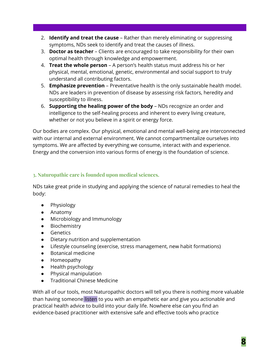- 2. **Identify and treat the cause** Rather than merely eliminating or suppressing symptoms, NDs seek to identify and treat the causes of illness.
- 3. **Doctor as teacher** Clients are encouraged to take responsibility for their own optimal health through knowledge and empowerment.
- 4. **Treat the whole person** A person's health status must address his or her physical, mental, emotional, genetic, environmental and social support to truly understand all contributing factors.
- 5. **Emphasize prevention** Preventative health is the only sustainable health model. NDs are leaders in prevention of disease by assessing risk factors, heredity and susceptibility to illness.
- 6. **Supporting the healing power of the body** NDs recognize an order and intelligence to the self-healing process and inherent to every living creature, whether or not you believe in a spirit or energy force.

Our bodies are complex. Our physical, emotional and mental well-being are interconnected with our internal and external environment. We cannot compartmentalize ourselves into symptoms. We are affected by everything we consume, interact with and experience. Energy and the conversion into various forms of energy is the foundation of science.

### **3. Naturopathic care is founded upon medical sciences.**

NDs take great pride in studying and applying the science of natural remedies to heal the body:

- Physiology
- Anatomy
- Microbiology and Immunology
- Biochemistry
- Genetics
- Dietary nutrition and supplementation
- Lifestyle counseling (exercise, stress management, new habit formations)
- Botanical medicine
- Homeopathy
- Health psychology
- Physical manipulation
- Traditional Chinese Medicine

With all of our tools, most Naturopathic doctors will tell you there is nothing more valuable than having someone listen to you with an empathetic ear and give you actionable and practical health advice to build into your daily life. Nowhere else can you find an evidence-based practitioner with extensive safe and effective tools who practice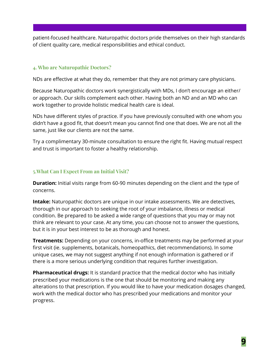patient-focused healthcare. Naturopathic doctors pride themselves on their high standards of client quality care, medical responsibilities and ethical conduct.

#### **4. Who are Naturopathic Doctors?**

NDs are effective at what they do, remember that they are not primary care physicians.

Because Naturopathic doctors work synergistically with MDs, I don't encourage an either/ or approach. Our skills complement each other. Having both an ND and an MD who can work together to provide holistic medical health care is ideal.

NDs have different styles of practice. If you have previously consulted with one whom you didn't have a good fit, that doesn't mean you cannot find one that does. We are not all the same, just like our clients are not the same.

Try a complimentary 30-minute consultation to ensure the right fit. Having mutual respect and trust is important to foster a healthy relationship.

### **5.What Can I Expect From an Initial Visit?**

**Duration:** Initial visits range from 60-90 minutes depending on the client and the type of concerns.

**Intake:** Naturopathic doctors are unique in our intake assessments. We are detectives, thorough in our approach to seeking the root of your imbalance, illness or medical condition. Be prepared to be asked a wide range of questions that you may or may not think are relevant to your case. At any time, you can choose not to answer the questions, but it is in your best interest to be as thorough and honest.

**Treatments:** Depending on your concerns, in-office treatments may be performed at your first visit (ie. supplements, botanicals, homeopathics, diet recommendations). In some unique cases, we may not suggest anything if not enough information is gathered or if there is a more serious underlying condition that requires further investigation.

**Pharmaceutical drugs:** It is standard practice that the medical doctor who has initially prescribed your medications is the one that should be monitoring and making any alterations to that prescription. If you would like to have your medication dosages changed, work with the medical doctor who has prescribed your medications and monitor your progress.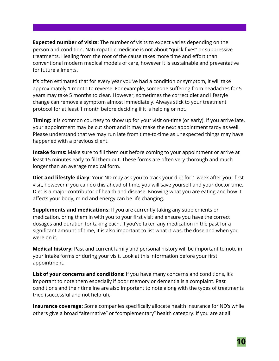**Expected number of visits:** The number of visits to expect varies depending on the person and condition. Naturopathic medicine is not about "quick fixes" or suppressive treatments. Healing from the root of the cause takes more time and effort than conventional modern medical models of care, however it is sustainable and preventative for future ailments.

It's often estimated that for every year you've had a condition or symptom, it will take approximately 1 month to reverse. For example, someone suffering from headaches for 5 years may take 5 months to clear. However, sometimes the correct diet and lifestyle change can remove a symptom almost immediately. Always stick to your treatment protocol for at least 1 month before deciding if it is helping or not.

**Timing:** It is common courtesy to show up for your visit on-time (or early). If you arrive late, your appointment may be cut short and it may make the next appointment tardy as well. Please understand that we may run late from time-to-time as unexpected things may have happened with a previous client.

**Intake forms:** Make sure to fill them out before coming to your appointment or arrive at least 15 minutes early to fill them out. These forms are often very thorough and much longer than an average medical form.

**Diet and lifestyle diary:** Your ND may ask you to track your diet for 1 week after your first visit, however if you can do this ahead of time, you will save yourself and your doctor time. Diet is a major contributor of health and disease. Knowing what you are eating and how it affects your body, mind and energy can be life changing.

**Supplements and medications:** If you are currently taking any supplements or medication, bring them in with you to your first visit and ensure you have the correct dosages and duration for taking each. If you've taken any medication in the past for a significant amount of time, it is also important to list what it was, the dose and when you were on it.

**Medical history:** Past and current family and personal history will be important to note in your intake forms or during your visit. Look at this information before your first appointment.

**List of your concerns and conditions:** If you have many concerns and conditions, it's important to note them especially if poor memory or dementia is a complaint. Past conditions and their timeline are also important to note along with the types of treatments tried (successful and not helpful).

**Insurance coverage:** Some companies specifically allocate health insurance for ND's while others give a broad "alternative" or "complementary" health category. If you are at all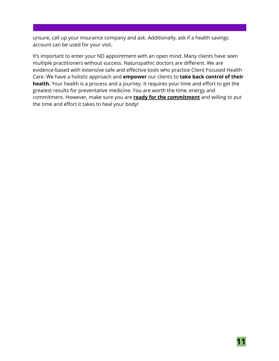unsure, call up your insurance company and ask. Additionally, ask if a health savings account can be used for your visit.

It's important to enter your ND appointment with an open mind. Many clients have seen multiple practitioners without success. Naturopathic doctors are different. We are evidence-based with extensive safe and effective tools who practice Client Focused Health Care. We have a holistic approach and **empower** our clients to **take back control of their health.** Your health is a process and a journey. It requires your time and effort to get the greatest results for preventative medicine. You are worth the time, energy and commitment. However, make sure you are **ready for the commitment** and willing to put the time and effort it takes to heal your body!